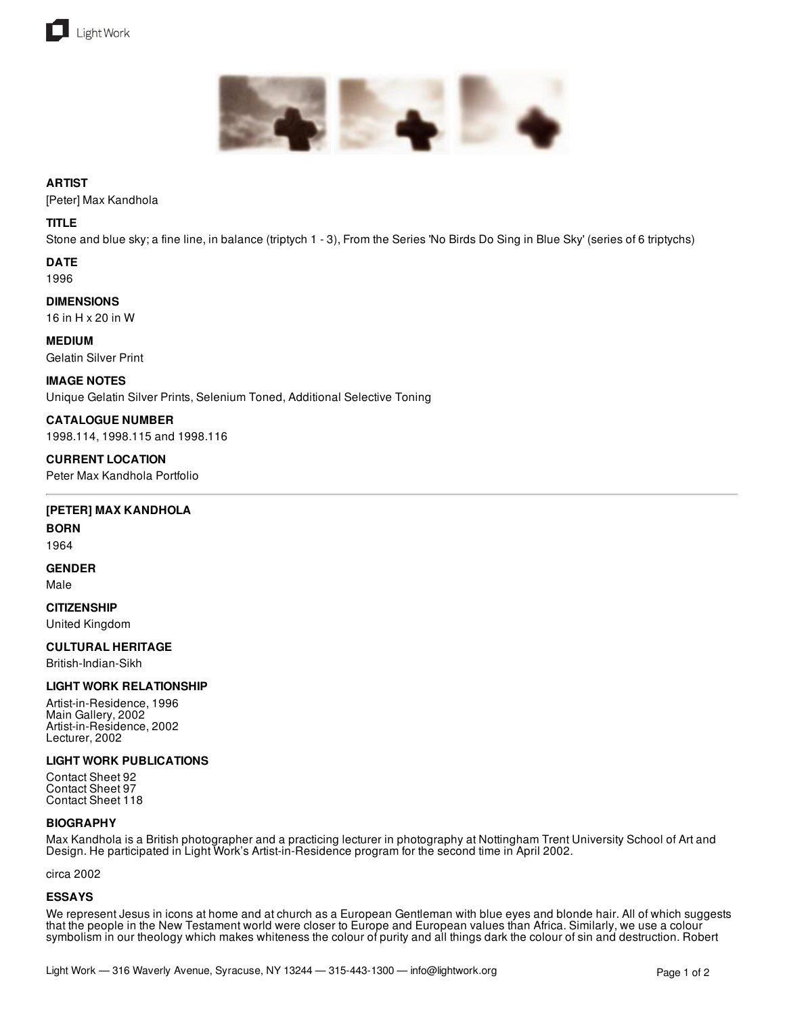



## **ARTIST**

[Peter] Max Kandhola

### **TITLE**

Stone and blue sky; a fine line, in balance (triptych 1 - 3), From the Series 'No Birds Do Sing in Blue Sky' (series of 6 triptychs)

#### **DATE** 1996

**DIMENSIONS**

16 in H x 20 in W

**MEDIUM** Gelatin Silver Print

# **IMAGE NOTES**

Unique Gelatin Silver Prints, Selenium Toned, Additional Selective Toning

**CATALOGUE NUMBER** 1998.114, 1998.115 and 1998.116

**CURRENT LOCATION** Peter Max Kandhola Portfolio

#### **[PETER] MAX KANDHOLA**

**BORN** 1964

# **GENDER**

Male

#### **CITIZENSHIP**

United Kingdom

#### **CULTURAL HERITAGE**

British-Indian-Sikh

#### **LIGHT WORK RELATIONSHIP**

Artist-in-Residence, 1996 Main Gallery, 2002 Artist-in-Residence, 2002 Lecturer, 2002

#### **LIGHT WORK PUBLICATIONS**

Contact Sheet 92 Contact Sheet 97 Contact Sheet 118

#### **BIOGRAPHY**

Max Kandhola is a British photographer and a practicing lecturer in photography at Nottingham Trent University School of Art and Design. He participated in Light Work's Artist-in-Residence program for the second time in April 2002.

circa 2002

#### **ESSAYS**

We represent Jesus in icons at home and at church as a European Gentleman with blue eyes and blonde hair. All of which suggests that the people in the New Testament world were closer to Europe and European values than Africa. Similarly, we use a colour symbolism in our theology which makes whiteness the colour of purity and all things dark the colour of sin and destruction. Robert